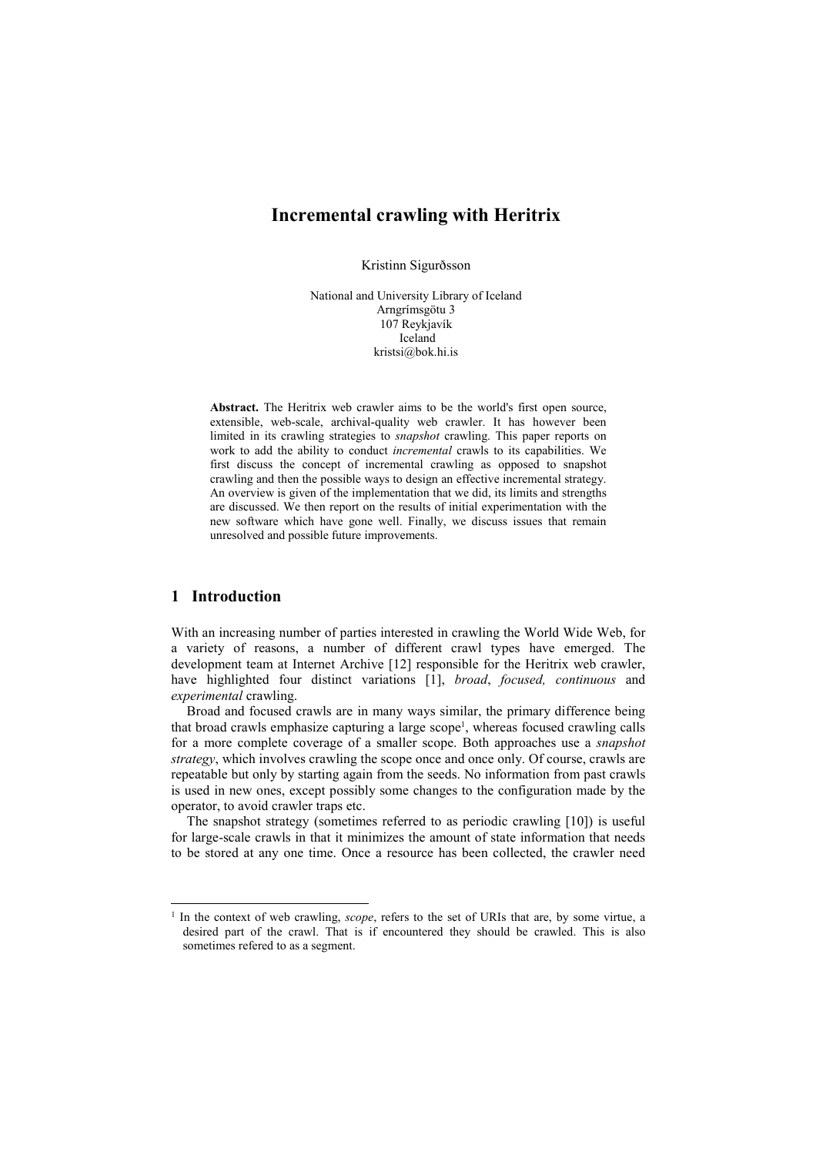# Incremental crawling with Heritrix

Kristinn Sigurðsson

National and University Library of Iceland Arngrímsgötu 3 107 Reykjavík Iceland kristsi@bok.hi.is

Abstract. The Heritrix web crawler aims to be the world's first open source, extensible, web-scale, archival-quality web crawler. It has however been limited in its crawling strategies to snapshot crawling. This paper reports on work to add the ability to conduct incremental crawls to its capabilities. We first discuss the concept of incremental crawling as opposed to snapshot crawling and then the possible ways to design an effective incremental strategy. An overview is given of the implementation that we did, its limits and strengths are discussed. We then report on the results of initial experimentation with the new software which have gone well. Finally, we discuss issues that remain unresolved and possible future improvements.

### 1 Introduction

-

With an increasing number of parties interested in crawling the World Wide Web, for a variety of reasons, a number of different crawl types have emerged. The development team at Internet Archive [12] responsible for the Heritrix web crawler, have highlighted four distinct variations [1], broad, focused, continuous and experimental crawling.

Broad and focused crawls are in many ways similar, the primary difference being that broad crawls emphasize capturing a large scope<sup>1</sup>, whereas focused crawling calls for a more complete coverage of a smaller scope. Both approaches use a snapshot strategy, which involves crawling the scope once and once only. Of course, crawls are repeatable but only by starting again from the seeds. No information from past crawls is used in new ones, except possibly some changes to the configuration made by the operator, to avoid crawler traps etc.

The snapshot strategy (sometimes referred to as periodic crawling [10]) is useful for large-scale crawls in that it minimizes the amount of state information that needs to be stored at any one time. Once a resource has been collected, the crawler need

<sup>&</sup>lt;sup>1</sup> In the context of web crawling, scope, refers to the set of URIs that are, by some virtue, a desired part of the crawl. That is if encountered they should be crawled. This is also sometimes refered to as a segment.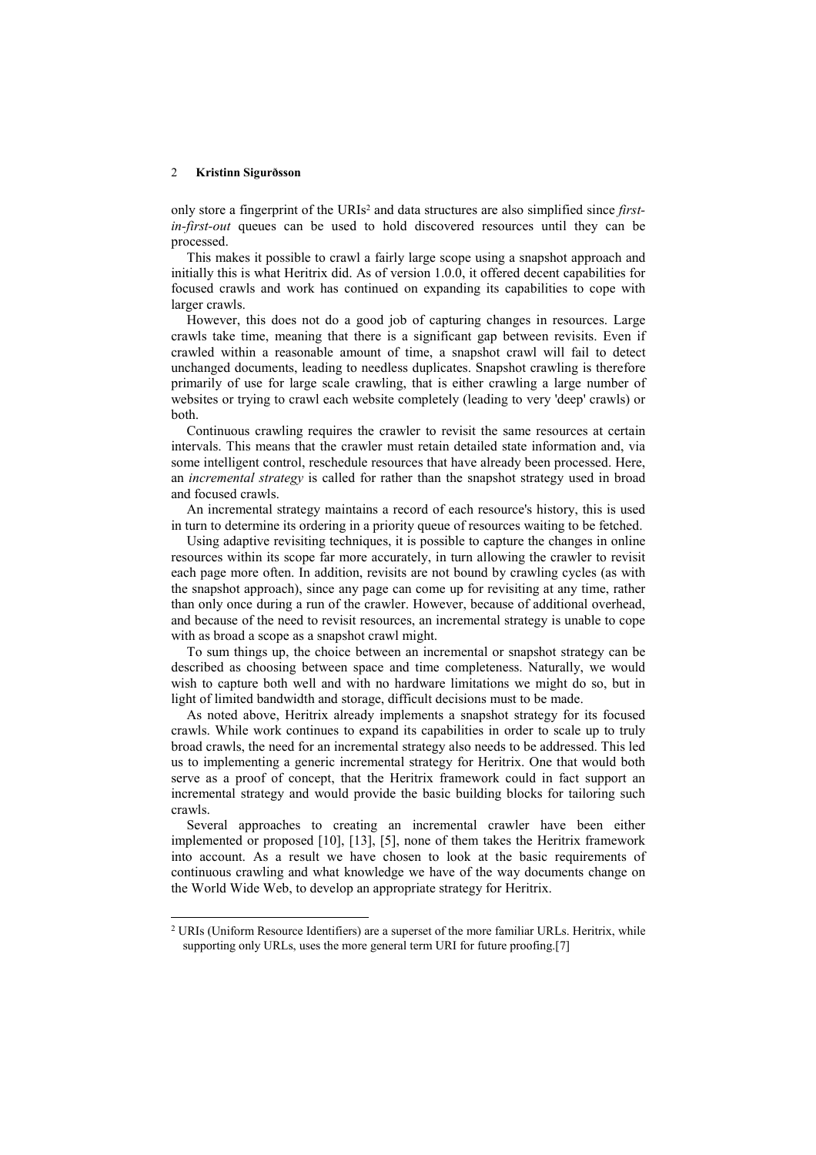j

only store a fingerprint of the URIs<sup>2</sup> and data structures are also simplified since firstin-first-out queues can be used to hold discovered resources until they can be processed.

This makes it possible to crawl a fairly large scope using a snapshot approach and initially this is what Heritrix did. As of version 1.0.0, it offered decent capabilities for focused crawls and work has continued on expanding its capabilities to cope with larger crawls.

However, this does not do a good job of capturing changes in resources. Large crawls take time, meaning that there is a significant gap between revisits. Even if crawled within a reasonable amount of time, a snapshot crawl will fail to detect unchanged documents, leading to needless duplicates. Snapshot crawling is therefore primarily of use for large scale crawling, that is either crawling a large number of websites or trying to crawl each website completely (leading to very 'deep' crawls) or both.

Continuous crawling requires the crawler to revisit the same resources at certain intervals. This means that the crawler must retain detailed state information and, via some intelligent control, reschedule resources that have already been processed. Here, an *incremental strategy* is called for rather than the snapshot strategy used in broad and focused crawls.

An incremental strategy maintains a record of each resource's history, this is used in turn to determine its ordering in a priority queue of resources waiting to be fetched.

Using adaptive revisiting techniques, it is possible to capture the changes in online resources within its scope far more accurately, in turn allowing the crawler to revisit each page more often. In addition, revisits are not bound by crawling cycles (as with the snapshot approach), since any page can come up for revisiting at any time, rather than only once during a run of the crawler. However, because of additional overhead, and because of the need to revisit resources, an incremental strategy is unable to cope with as broad a scope as a snapshot crawl might.

To sum things up, the choice between an incremental or snapshot strategy can be described as choosing between space and time completeness. Naturally, we would wish to capture both well and with no hardware limitations we might do so, but in light of limited bandwidth and storage, difficult decisions must to be made.

As noted above, Heritrix already implements a snapshot strategy for its focused crawls. While work continues to expand its capabilities in order to scale up to truly broad crawls, the need for an incremental strategy also needs to be addressed. This led us to implementing a generic incremental strategy for Heritrix. One that would both serve as a proof of concept, that the Heritrix framework could in fact support an incremental strategy and would provide the basic building blocks for tailoring such crawls.

Several approaches to creating an incremental crawler have been either implemented or proposed [10], [13], [5], none of them takes the Heritrix framework into account. As a result we have chosen to look at the basic requirements of continuous crawling and what knowledge we have of the way documents change on the World Wide Web, to develop an appropriate strategy for Heritrix.

<sup>&</sup>lt;sup>2</sup> URIs (Uniform Resource Identifiers) are a superset of the more familiar URLs. Heritrix, while supporting only URLs, uses the more general term URI for future proofing.[7]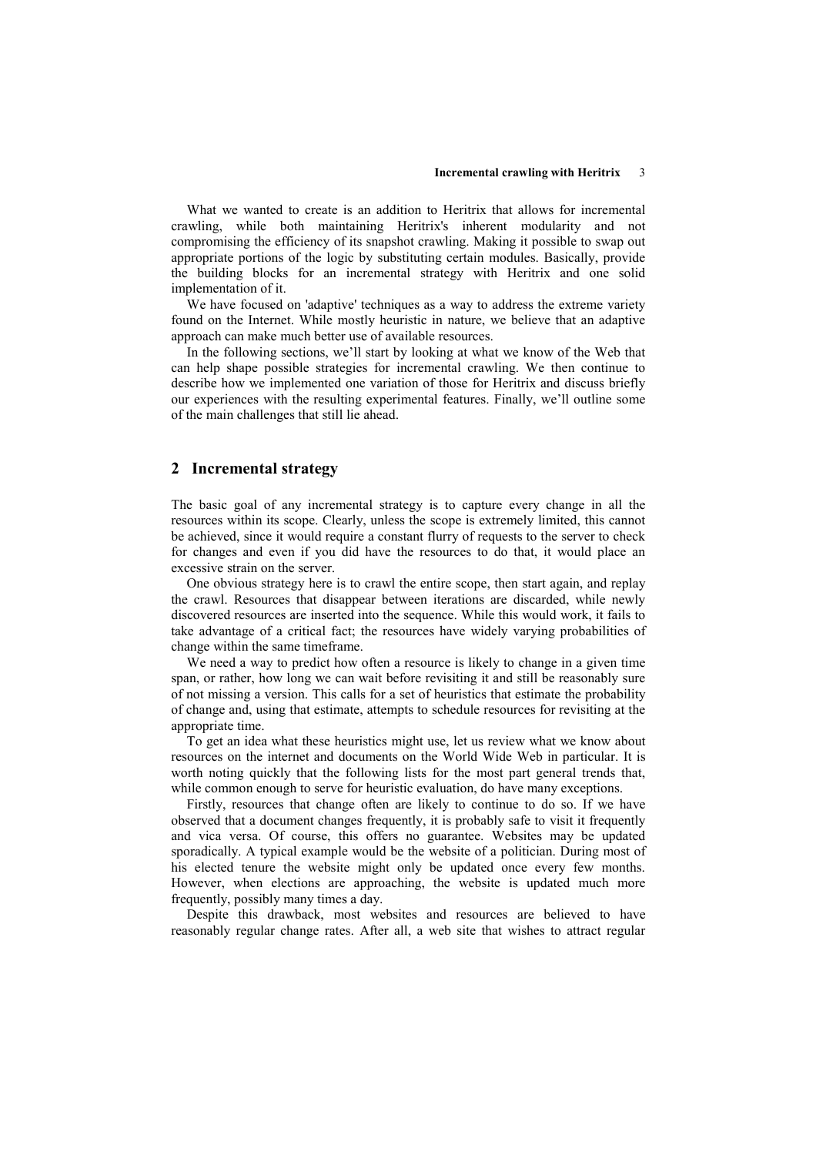#### Incremental crawling with Heritrix 3

What we wanted to create is an addition to Heritrix that allows for incremental crawling, while both maintaining Heritrix's inherent modularity and not compromising the efficiency of its snapshot crawling. Making it possible to swap out appropriate portions of the logic by substituting certain modules. Basically, provide the building blocks for an incremental strategy with Heritrix and one solid implementation of it.

We have focused on 'adaptive' techniques as a way to address the extreme variety found on the Internet. While mostly heuristic in nature, we believe that an adaptive approach can make much better use of available resources.

In the following sections, we'll start by looking at what we know of the Web that can help shape possible strategies for incremental crawling. We then continue to describe how we implemented one variation of those for Heritrix and discuss briefly our experiences with the resulting experimental features. Finally, we'll outline some of the main challenges that still lie ahead.

#### 2 Incremental strategy

The basic goal of any incremental strategy is to capture every change in all the resources within its scope. Clearly, unless the scope is extremely limited, this cannot be achieved, since it would require a constant flurry of requests to the server to check for changes and even if you did have the resources to do that, it would place an excessive strain on the server.

One obvious strategy here is to crawl the entire scope, then start again, and replay the crawl. Resources that disappear between iterations are discarded, while newly discovered resources are inserted into the sequence. While this would work, it fails to take advantage of a critical fact; the resources have widely varying probabilities of change within the same timeframe.

We need a way to predict how often a resource is likely to change in a given time span, or rather, how long we can wait before revisiting it and still be reasonably sure of not missing a version. This calls for a set of heuristics that estimate the probability of change and, using that estimate, attempts to schedule resources for revisiting at the appropriate time.

To get an idea what these heuristics might use, let us review what we know about resources on the internet and documents on the World Wide Web in particular. It is worth noting quickly that the following lists for the most part general trends that, while common enough to serve for heuristic evaluation, do have many exceptions.

Firstly, resources that change often are likely to continue to do so. If we have observed that a document changes frequently, it is probably safe to visit it frequently and vica versa. Of course, this offers no guarantee. Websites may be updated sporadically. A typical example would be the website of a politician. During most of his elected tenure the website might only be updated once every few months. However, when elections are approaching, the website is updated much more frequently, possibly many times a day.

Despite this drawback, most websites and resources are believed to have reasonably regular change rates. After all, a web site that wishes to attract regular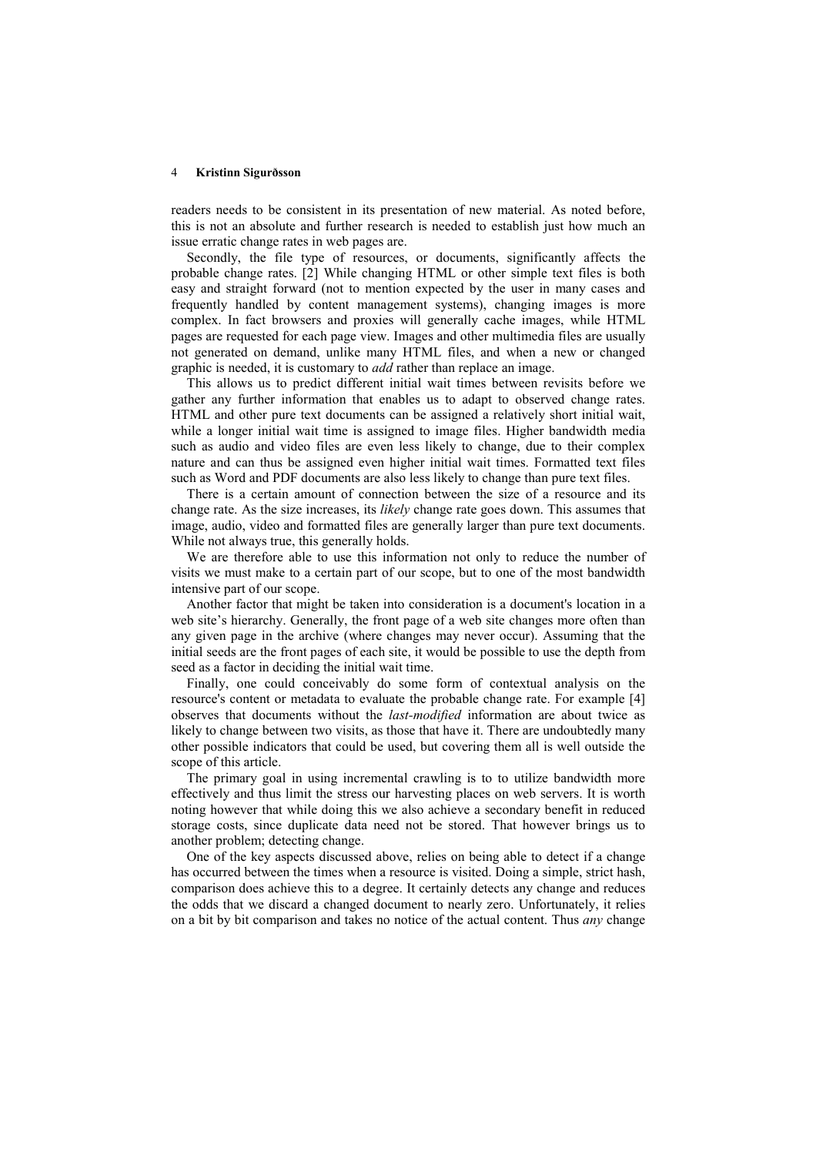readers needs to be consistent in its presentation of new material. As noted before, this is not an absolute and further research is needed to establish just how much an issue erratic change rates in web pages are.

Secondly, the file type of resources, or documents, significantly affects the probable change rates. [2] While changing HTML or other simple text files is both easy and straight forward (not to mention expected by the user in many cases and frequently handled by content management systems), changing images is more complex. In fact browsers and proxies will generally cache images, while HTML pages are requested for each page view. Images and other multimedia files are usually not generated on demand, unlike many HTML files, and when a new or changed graphic is needed, it is customary to add rather than replace an image.

This allows us to predict different initial wait times between revisits before we gather any further information that enables us to adapt to observed change rates. HTML and other pure text documents can be assigned a relatively short initial wait, while a longer initial wait time is assigned to image files. Higher bandwidth media such as audio and video files are even less likely to change, due to their complex nature and can thus be assigned even higher initial wait times. Formatted text files such as Word and PDF documents are also less likely to change than pure text files.

There is a certain amount of connection between the size of a resource and its change rate. As the size increases, its *likely* change rate goes down. This assumes that image, audio, video and formatted files are generally larger than pure text documents. While not always true, this generally holds.

We are therefore able to use this information not only to reduce the number of visits we must make to a certain part of our scope, but to one of the most bandwidth intensive part of our scope.

Another factor that might be taken into consideration is a document's location in a web site's hierarchy. Generally, the front page of a web site changes more often than any given page in the archive (where changes may never occur). Assuming that the initial seeds are the front pages of each site, it would be possible to use the depth from seed as a factor in deciding the initial wait time.

Finally, one could conceivably do some form of contextual analysis on the resource's content or metadata to evaluate the probable change rate. For example [4] observes that documents without the *last-modified* information are about twice as likely to change between two visits, as those that have it. There are undoubtedly many other possible indicators that could be used, but covering them all is well outside the scope of this article.

The primary goal in using incremental crawling is to to utilize bandwidth more effectively and thus limit the stress our harvesting places on web servers. It is worth noting however that while doing this we also achieve a secondary benefit in reduced storage costs, since duplicate data need not be stored. That however brings us to another problem; detecting change.

One of the key aspects discussed above, relies on being able to detect if a change has occurred between the times when a resource is visited. Doing a simple, strict hash, comparison does achieve this to a degree. It certainly detects any change and reduces the odds that we discard a changed document to nearly zero. Unfortunately, it relies on a bit by bit comparison and takes no notice of the actual content. Thus any change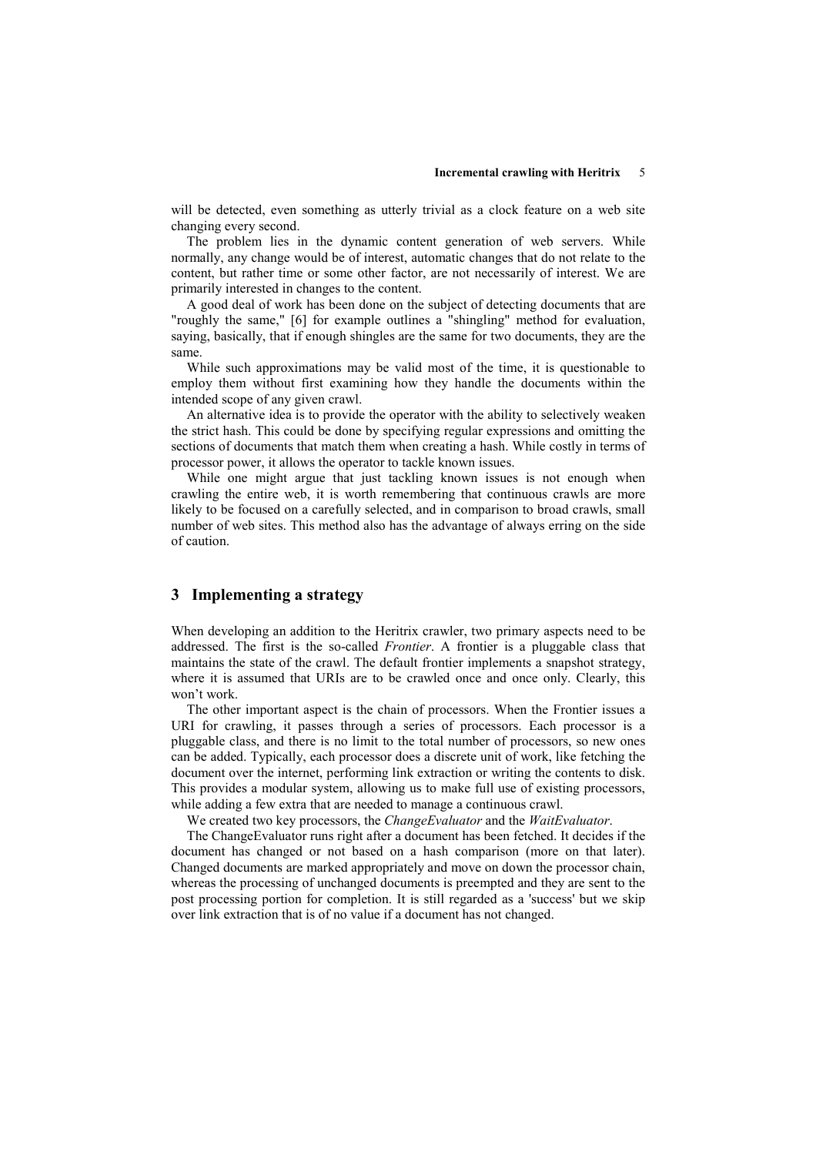will be detected, even something as utterly trivial as a clock feature on a web site changing every second.

The problem lies in the dynamic content generation of web servers. While normally, any change would be of interest, automatic changes that do not relate to the content, but rather time or some other factor, are not necessarily of interest. We are primarily interested in changes to the content.

A good deal of work has been done on the subject of detecting documents that are "roughly the same," [6] for example outlines a "shingling" method for evaluation, saying, basically, that if enough shingles are the same for two documents, they are the same.

While such approximations may be valid most of the time, it is questionable to employ them without first examining how they handle the documents within the intended scope of any given crawl.

An alternative idea is to provide the operator with the ability to selectively weaken the strict hash. This could be done by specifying regular expressions and omitting the sections of documents that match them when creating a hash. While costly in terms of processor power, it allows the operator to tackle known issues.

While one might argue that just tackling known issues is not enough when crawling the entire web, it is worth remembering that continuous crawls are more likely to be focused on a carefully selected, and in comparison to broad crawls, small number of web sites. This method also has the advantage of always erring on the side of caution.

# 3 Implementing a strategy

When developing an addition to the Heritrix crawler, two primary aspects need to be addressed. The first is the so-called *Frontier*. A frontier is a pluggable class that maintains the state of the crawl. The default frontier implements a snapshot strategy, where it is assumed that URIs are to be crawled once and once only. Clearly, this won't work.

The other important aspect is the chain of processors. When the Frontier issues a URI for crawling, it passes through a series of processors. Each processor is a pluggable class, and there is no limit to the total number of processors, so new ones can be added. Typically, each processor does a discrete unit of work, like fetching the document over the internet, performing link extraction or writing the contents to disk. This provides a modular system, allowing us to make full use of existing processors, while adding a few extra that are needed to manage a continuous crawl.

We created two key processors, the ChangeEvaluator and the WaitEvaluator.

The ChangeEvaluator runs right after a document has been fetched. It decides if the document has changed or not based on a hash comparison (more on that later). Changed documents are marked appropriately and move on down the processor chain, whereas the processing of unchanged documents is preempted and they are sent to the post processing portion for completion. It is still regarded as a 'success' but we skip over link extraction that is of no value if a document has not changed.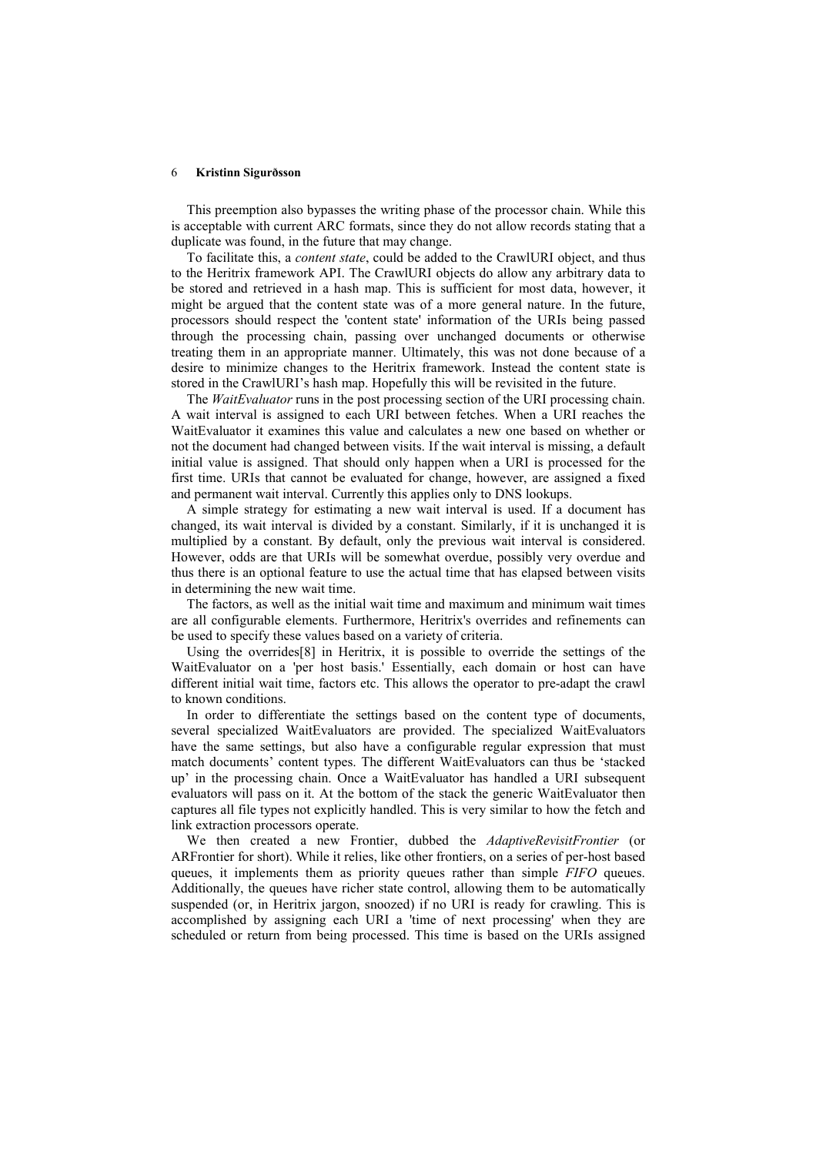This preemption also bypasses the writing phase of the processor chain. While this is acceptable with current ARC formats, since they do not allow records stating that a duplicate was found, in the future that may change.

To facilitate this, a content state, could be added to the CrawlURI object, and thus to the Heritrix framework API. The CrawlURI objects do allow any arbitrary data to be stored and retrieved in a hash map. This is sufficient for most data, however, it might be argued that the content state was of a more general nature. In the future, processors should respect the 'content state' information of the URIs being passed through the processing chain, passing over unchanged documents or otherwise treating them in an appropriate manner. Ultimately, this was not done because of a desire to minimize changes to the Heritrix framework. Instead the content state is stored in the CrawlURI's hash map. Hopefully this will be revisited in the future.

The *WaitEvaluator* runs in the post processing section of the URI processing chain. A wait interval is assigned to each URI between fetches. When a URI reaches the WaitEvaluator it examines this value and calculates a new one based on whether or not the document had changed between visits. If the wait interval is missing, a default initial value is assigned. That should only happen when a URI is processed for the first time. URIs that cannot be evaluated for change, however, are assigned a fixed and permanent wait interval. Currently this applies only to DNS lookups.

A simple strategy for estimating a new wait interval is used. If a document has changed, its wait interval is divided by a constant. Similarly, if it is unchanged it is multiplied by a constant. By default, only the previous wait interval is considered. However, odds are that URIs will be somewhat overdue, possibly very overdue and thus there is an optional feature to use the actual time that has elapsed between visits in determining the new wait time.

The factors, as well as the initial wait time and maximum and minimum wait times are all configurable elements. Furthermore, Heritrix's overrides and refinements can be used to specify these values based on a variety of criteria.

Using the overrides[8] in Heritrix, it is possible to override the settings of the WaitEvaluator on a 'per host basis.' Essentially, each domain or host can have different initial wait time, factors etc. This allows the operator to pre-adapt the crawl to known conditions.

In order to differentiate the settings based on the content type of documents, several specialized WaitEvaluators are provided. The specialized WaitEvaluators have the same settings, but also have a configurable regular expression that must match documents' content types. The different WaitEvaluators can thus be 'stacked up' in the processing chain. Once a WaitEvaluator has handled a URI subsequent evaluators will pass on it. At the bottom of the stack the generic WaitEvaluator then captures all file types not explicitly handled. This is very similar to how the fetch and link extraction processors operate.

We then created a new Frontier, dubbed the AdaptiveRevisitFrontier (or ARFrontier for short). While it relies, like other frontiers, on a series of per-host based queues, it implements them as priority queues rather than simple FIFO queues. Additionally, the queues have richer state control, allowing them to be automatically suspended (or, in Heritrix jargon, snoozed) if no URI is ready for crawling. This is accomplished by assigning each URI a 'time of next processing' when they are scheduled or return from being processed. This time is based on the URIs assigned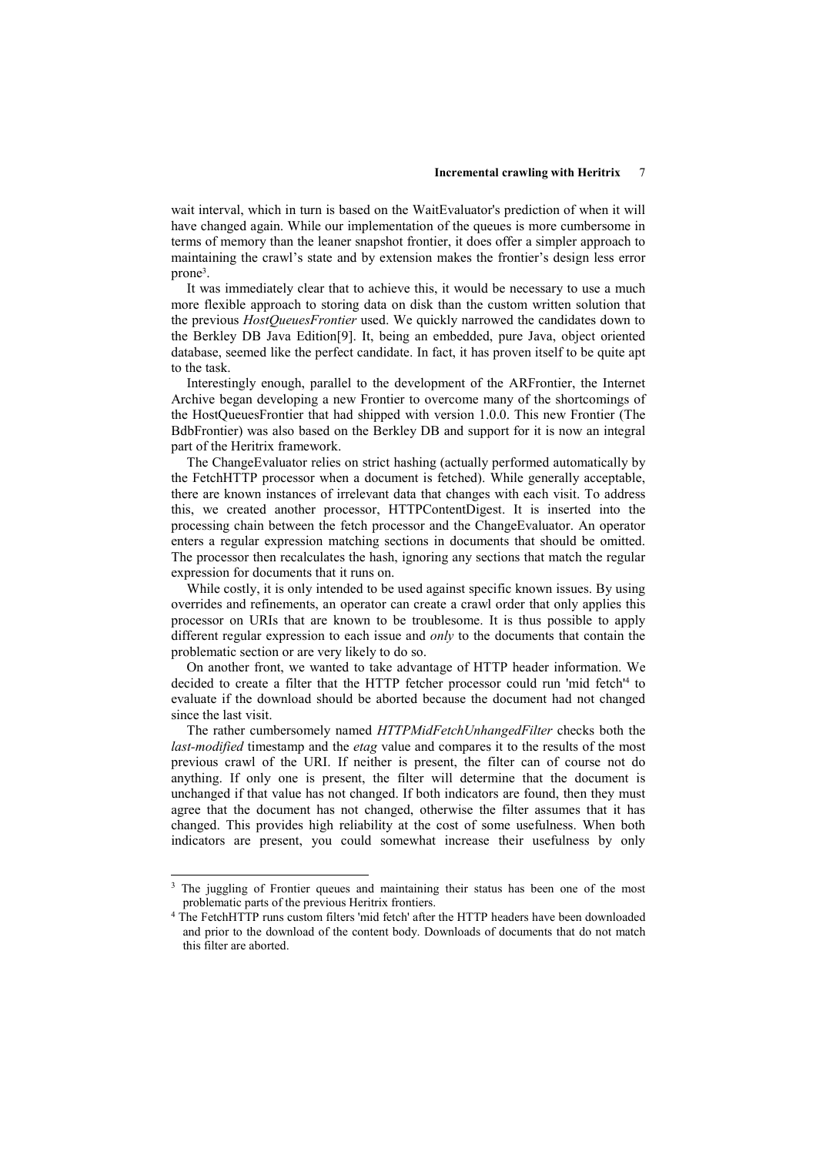wait interval, which in turn is based on the WaitEvaluator's prediction of when it will have changed again. While our implementation of the queues is more cumbersome in terms of memory than the leaner snapshot frontier, it does offer a simpler approach to maintaining the crawl's state and by extension makes the frontier's design less error prone<sup>3</sup> .

It was immediately clear that to achieve this, it would be necessary to use a much more flexible approach to storing data on disk than the custom written solution that the previous *HostQueuesFrontier* used. We quickly narrowed the candidates down to the Berkley DB Java Edition[9]. It, being an embedded, pure Java, object oriented database, seemed like the perfect candidate. In fact, it has proven itself to be quite apt to the task.

Interestingly enough, parallel to the development of the ARFrontier, the Internet Archive began developing a new Frontier to overcome many of the shortcomings of the HostQueuesFrontier that had shipped with version 1.0.0. This new Frontier (The BdbFrontier) was also based on the Berkley DB and support for it is now an integral part of the Heritrix framework.

The ChangeEvaluator relies on strict hashing (actually performed automatically by the FetchHTTP processor when a document is fetched). While generally acceptable, there are known instances of irrelevant data that changes with each visit. To address this, we created another processor, HTTPContentDigest. It is inserted into the processing chain between the fetch processor and the ChangeEvaluator. An operator enters a regular expression matching sections in documents that should be omitted. The processor then recalculates the hash, ignoring any sections that match the regular expression for documents that it runs on.

While costly, it is only intended to be used against specific known issues. By using overrides and refinements, an operator can create a crawl order that only applies this processor on URIs that are known to be troublesome. It is thus possible to apply different regular expression to each issue and only to the documents that contain the problematic section or are very likely to do so.

On another front, we wanted to take advantage of HTTP header information. We decided to create a filter that the HTTP fetcher processor could run 'mid fetch'<sup>4</sup> to evaluate if the download should be aborted because the document had not changed since the last visit.

The rather cumbersomely named HTTPMidFetchUnhangedFilter checks both the *last-modified* timestamp and the *etag* value and compares it to the results of the most previous crawl of the URI. If neither is present, the filter can of course not do anything. If only one is present, the filter will determine that the document is unchanged if that value has not changed. If both indicators are found, then they must agree that the document has not changed, otherwise the filter assumes that it has changed. This provides high reliability at the cost of some usefulness. When both indicators are present, you could somewhat increase their usefulness by only

-

<sup>&</sup>lt;sup>3</sup> The juggling of Frontier queues and maintaining their status has been one of the most problematic parts of the previous Heritrix frontiers.

<sup>4</sup> The FetchHTTP runs custom filters 'mid fetch' after the HTTP headers have been downloaded and prior to the download of the content body. Downloads of documents that do not match this filter are aborted.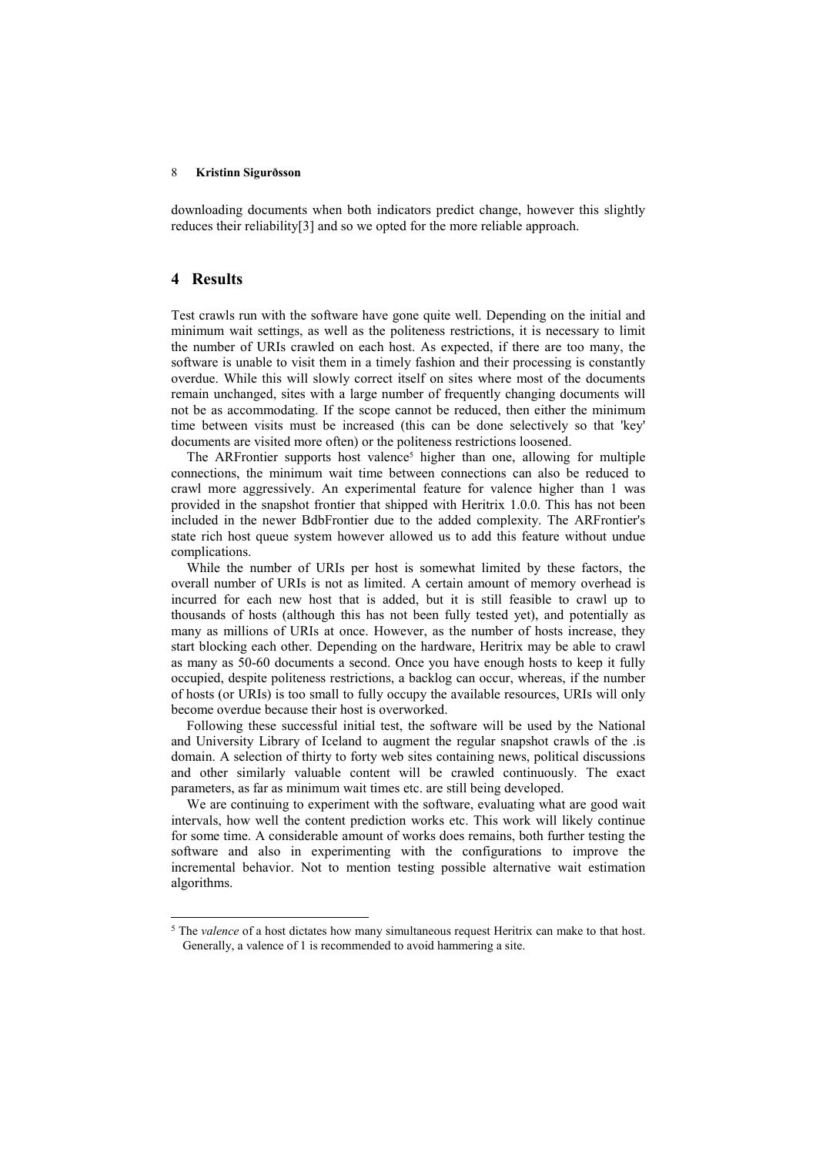downloading documents when both indicators predict change, however this slightly reduces their reliability[3] and so we opted for the more reliable approach.

### 4 Results

j

Test crawls run with the software have gone quite well. Depending on the initial and minimum wait settings, as well as the politeness restrictions, it is necessary to limit the number of URIs crawled on each host. As expected, if there are too many, the software is unable to visit them in a timely fashion and their processing is constantly overdue. While this will slowly correct itself on sites where most of the documents remain unchanged, sites with a large number of frequently changing documents will not be as accommodating. If the scope cannot be reduced, then either the minimum time between visits must be increased (this can be done selectively so that 'key' documents are visited more often) or the politeness restrictions loosened.

The ARFrontier supports host valence<sup>5</sup> higher than one, allowing for multiple connections, the minimum wait time between connections can also be reduced to crawl more aggressively. An experimental feature for valence higher than 1 was provided in the snapshot frontier that shipped with Heritrix 1.0.0. This has not been included in the newer BdbFrontier due to the added complexity. The ARFrontier's state rich host queue system however allowed us to add this feature without undue complications.

While the number of URIs per host is somewhat limited by these factors, the overall number of URIs is not as limited. A certain amount of memory overhead is incurred for each new host that is added, but it is still feasible to crawl up to thousands of hosts (although this has not been fully tested yet), and potentially as many as millions of URIs at once. However, as the number of hosts increase, they start blocking each other. Depending on the hardware, Heritrix may be able to crawl as many as 50-60 documents a second. Once you have enough hosts to keep it fully occupied, despite politeness restrictions, a backlog can occur, whereas, if the number of hosts (or URIs) is too small to fully occupy the available resources, URIs will only become overdue because their host is overworked.

Following these successful initial test, the software will be used by the National and University Library of Iceland to augment the regular snapshot crawls of the .is domain. A selection of thirty to forty web sites containing news, political discussions and other similarly valuable content will be crawled continuously. The exact parameters, as far as minimum wait times etc. are still being developed.

We are continuing to experiment with the software, evaluating what are good wait intervals, how well the content prediction works etc. This work will likely continue for some time. A considerable amount of works does remains, both further testing the software and also in experimenting with the configurations to improve the incremental behavior. Not to mention testing possible alternative wait estimation algorithms.

 $5$  The valence of a host dictates how many simultaneous request Heritrix can make to that host. Generally, a valence of 1 is recommended to avoid hammering a site.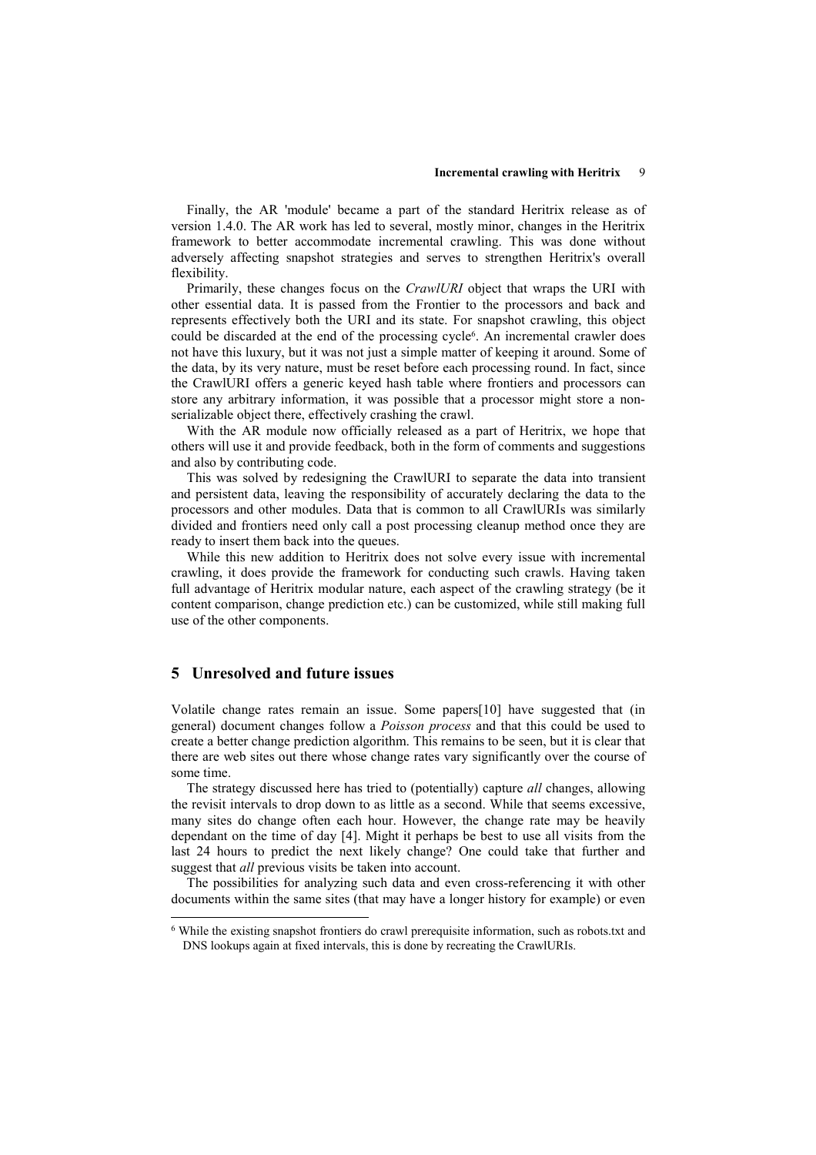Finally, the AR 'module' became a part of the standard Heritrix release as of version 1.4.0. The AR work has led to several, mostly minor, changes in the Heritrix framework to better accommodate incremental crawling. This was done without adversely affecting snapshot strategies and serves to strengthen Heritrix's overall flexibility.

Primarily, these changes focus on the CrawlURI object that wraps the URI with other essential data. It is passed from the Frontier to the processors and back and represents effectively both the URI and its state. For snapshot crawling, this object could be discarded at the end of the processing cycle<sup>6</sup>. An incremental crawler does not have this luxury, but it was not just a simple matter of keeping it around. Some of the data, by its very nature, must be reset before each processing round. In fact, since the CrawlURI offers a generic keyed hash table where frontiers and processors can store any arbitrary information, it was possible that a processor might store a nonserializable object there, effectively crashing the crawl.

With the AR module now officially released as a part of Heritrix, we hope that others will use it and provide feedback, both in the form of comments and suggestions and also by contributing code.

This was solved by redesigning the CrawlURI to separate the data into transient and persistent data, leaving the responsibility of accurately declaring the data to the processors and other modules. Data that is common to all CrawlURIs was similarly divided and frontiers need only call a post processing cleanup method once they are ready to insert them back into the queues.

While this new addition to Heritrix does not solve every issue with incremental crawling, it does provide the framework for conducting such crawls. Having taken full advantage of Heritrix modular nature, each aspect of the crawling strategy (be it content comparison, change prediction etc.) can be customized, while still making full use of the other components.

### 5 Unresolved and future issues

j

Volatile change rates remain an issue. Some papers[10] have suggested that (in general) document changes follow a Poisson process and that this could be used to create a better change prediction algorithm. This remains to be seen, but it is clear that there are web sites out there whose change rates vary significantly over the course of some time.

The strategy discussed here has tried to (potentially) capture all changes, allowing the revisit intervals to drop down to as little as a second. While that seems excessive, many sites do change often each hour. However, the change rate may be heavily dependant on the time of day [4]. Might it perhaps be best to use all visits from the last 24 hours to predict the next likely change? One could take that further and suggest that *all* previous visits be taken into account.

The possibilities for analyzing such data and even cross-referencing it with other documents within the same sites (that may have a longer history for example) or even

<sup>&</sup>lt;sup>6</sup> While the existing snapshot frontiers do crawl prerequisite information, such as robots.txt and DNS lookups again at fixed intervals, this is done by recreating the CrawlURIs.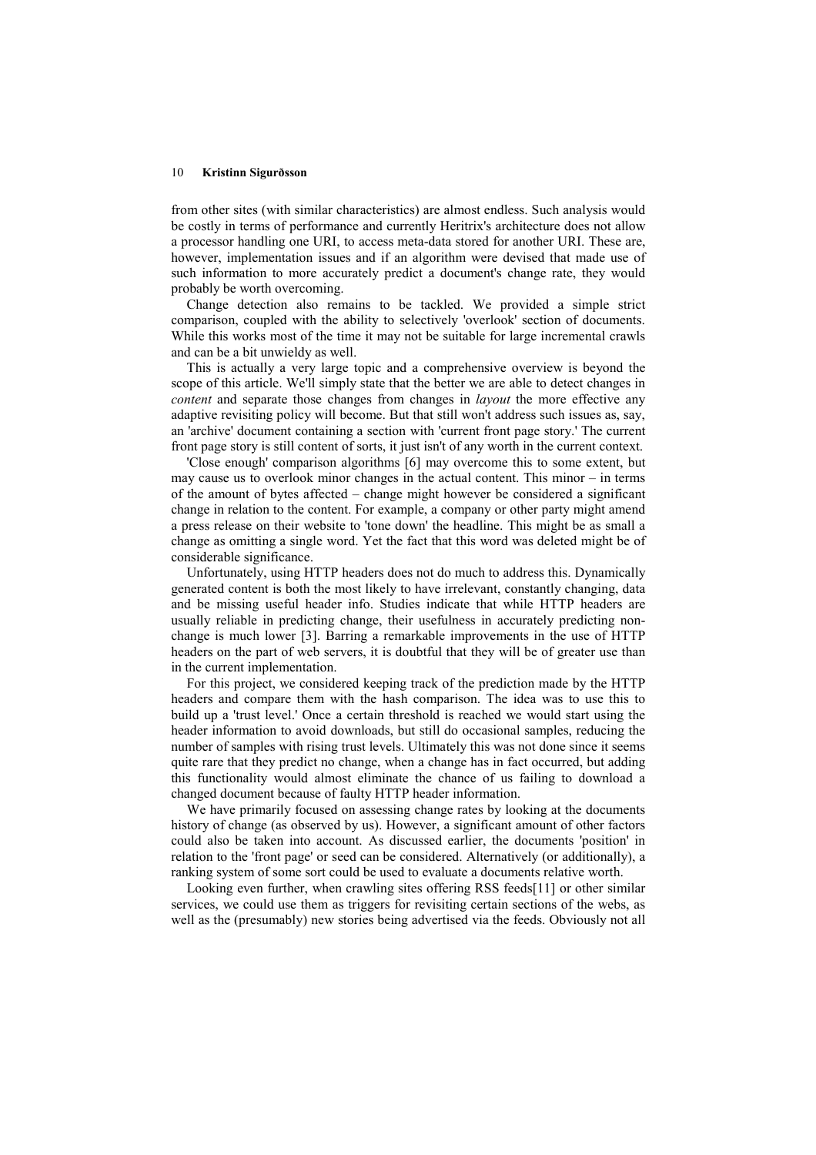from other sites (with similar characteristics) are almost endless. Such analysis would be costly in terms of performance and currently Heritrix's architecture does not allow a processor handling one URI, to access meta-data stored for another URI. These are, however, implementation issues and if an algorithm were devised that made use of such information to more accurately predict a document's change rate, they would probably be worth overcoming.

Change detection also remains to be tackled. We provided a simple strict comparison, coupled with the ability to selectively 'overlook' section of documents. While this works most of the time it may not be suitable for large incremental crawls and can be a bit unwieldy as well.

This is actually a very large topic and a comprehensive overview is beyond the scope of this article. We'll simply state that the better we are able to detect changes in content and separate those changes from changes in *layout* the more effective any adaptive revisiting policy will become. But that still won't address such issues as, say, an 'archive' document containing a section with 'current front page story.' The current front page story is still content of sorts, it just isn't of any worth in the current context.

'Close enough' comparison algorithms [6] may overcome this to some extent, but may cause us to overlook minor changes in the actual content. This minor – in terms of the amount of bytes affected – change might however be considered a significant change in relation to the content. For example, a company or other party might amend a press release on their website to 'tone down' the headline. This might be as small a change as omitting a single word. Yet the fact that this word was deleted might be of considerable significance.

Unfortunately, using HTTP headers does not do much to address this. Dynamically generated content is both the most likely to have irrelevant, constantly changing, data and be missing useful header info. Studies indicate that while HTTP headers are usually reliable in predicting change, their usefulness in accurately predicting nonchange is much lower [3]. Barring a remarkable improvements in the use of HTTP headers on the part of web servers, it is doubtful that they will be of greater use than in the current implementation.

For this project, we considered keeping track of the prediction made by the HTTP headers and compare them with the hash comparison. The idea was to use this to build up a 'trust level.' Once a certain threshold is reached we would start using the header information to avoid downloads, but still do occasional samples, reducing the number of samples with rising trust levels. Ultimately this was not done since it seems quite rare that they predict no change, when a change has in fact occurred, but adding this functionality would almost eliminate the chance of us failing to download a changed document because of faulty HTTP header information.

We have primarily focused on assessing change rates by looking at the documents history of change (as observed by us). However, a significant amount of other factors could also be taken into account. As discussed earlier, the documents 'position' in relation to the 'front page' or seed can be considered. Alternatively (or additionally), a ranking system of some sort could be used to evaluate a documents relative worth.

Looking even further, when crawling sites offering RSS feeds[11] or other similar services, we could use them as triggers for revisiting certain sections of the webs, as well as the (presumably) new stories being advertised via the feeds. Obviously not all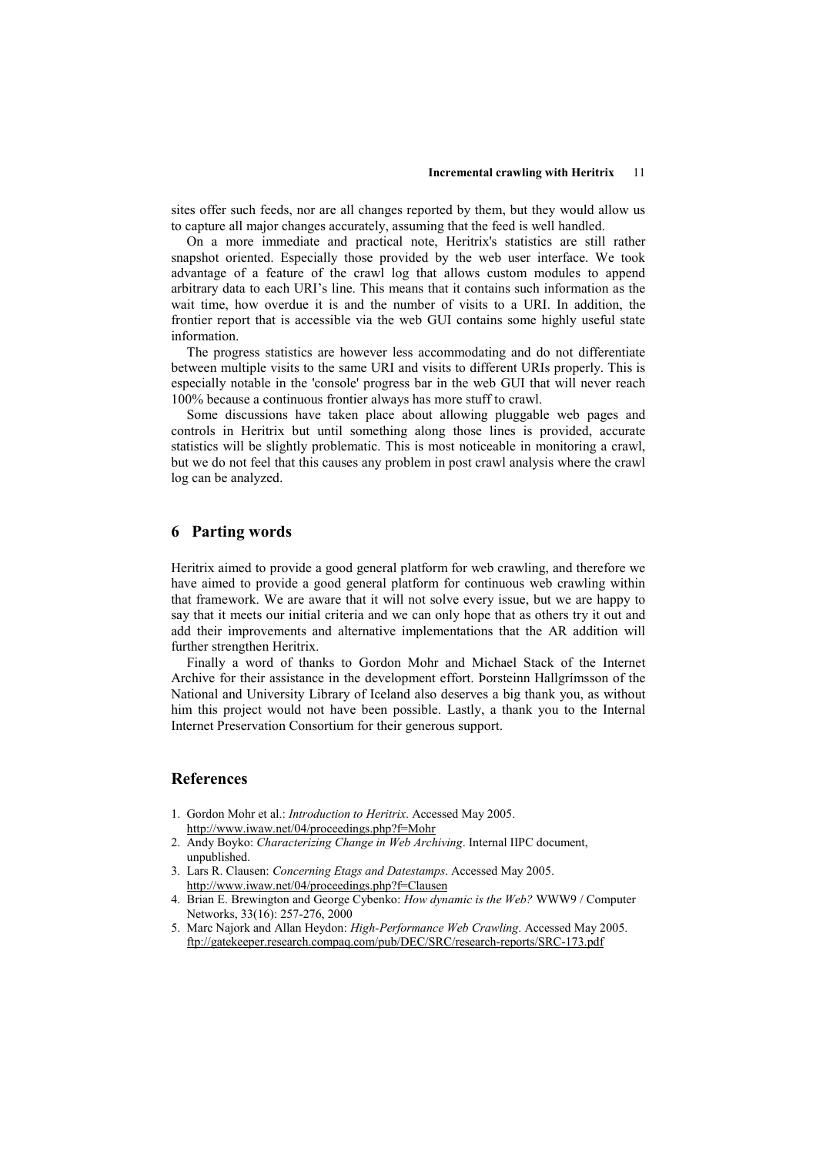#### Incremental crawling with Heritrix 11

sites offer such feeds, nor are all changes reported by them, but they would allow us to capture all major changes accurately, assuming that the feed is well handled.

On a more immediate and practical note, Heritrix's statistics are still rather snapshot oriented. Especially those provided by the web user interface. We took advantage of a feature of the crawl log that allows custom modules to append arbitrary data to each URI's line. This means that it contains such information as the wait time, how overdue it is and the number of visits to a URI. In addition, the frontier report that is accessible via the web GUI contains some highly useful state information.

The progress statistics are however less accommodating and do not differentiate between multiple visits to the same URI and visits to different URIs properly. This is especially notable in the 'console' progress bar in the web GUI that will never reach 100% because a continuous frontier always has more stuff to crawl.

Some discussions have taken place about allowing pluggable web pages and controls in Heritrix but until something along those lines is provided, accurate statistics will be slightly problematic. This is most noticeable in monitoring a crawl, but we do not feel that this causes any problem in post crawl analysis where the crawl log can be analyzed.

# 6 Parting words

Heritrix aimed to provide a good general platform for web crawling, and therefore we have aimed to provide a good general platform for continuous web crawling within that framework. We are aware that it will not solve every issue, but we are happy to say that it meets our initial criteria and we can only hope that as others try it out and add their improvements and alternative implementations that the AR addition will further strengthen Heritrix.

Finally a word of thanks to Gordon Mohr and Michael Stack of the Internet Archive for their assistance in the development effort. Þorsteinn Hallgrímsson of the National and University Library of Iceland also deserves a big thank you, as without him this project would not have been possible. Lastly, a thank you to the Internal Internet Preservation Consortium for their generous support.

### References

- 1. Gordon Mohr et al.: Introduction to Heritrix. Accessed May 2005. http://www.iwaw.net/04/proceedings.php?f=Mohr
- 2. Andy Boyko: Characterizing Change in Web Archiving. Internal IIPC document, unpublished.
- 3. Lars R. Clausen: Concerning Etags and Datestamps. Accessed May 2005. http://www.iwaw.net/04/proceedings.php?f=Clausen
- 4. Brian E. Brewington and George Cybenko: How dynamic is the Web? WWW9 / Computer Networks, 33(16): 257-276, 2000
- 5. Marc Najork and Allan Heydon: High-Performance Web Crawling. Accessed May 2005. ftp://gatekeeper.research.compaq.com/pub/DEC/SRC/research-reports/SRC-173.pdf